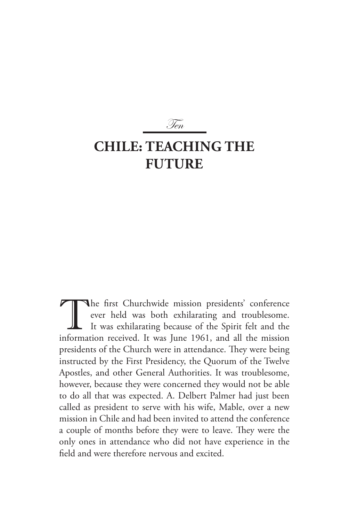# **Chile: Teaching the FUTURE**

Ten

The first Churchwide mission presidents' conference<br>ever held was both exhilarating and troublesome.<br>It was exhilarating because of the Spirit felt and the<br>information received. It was June 1961, and all the mission ever held was both exhilarating and troublesome. It was exhilarating because of the Spirit felt and the information received. It was June 1961, and all the mission presidents of the Church were in attendance. They were being instructed by the First Presidency, the Quorum of the Twelve Apostles, and other General Authorities. It was troublesome, however, because they were concerned they would not be able to do all that was expected. A. Delbert Palmer had just been called as president to serve with his wife, Mable, over a new mission in Chile and had been invited to attend the conference a couple of months before they were to leave. They were the only ones in attendance who did not have experience in the field and were therefore nervous and excited.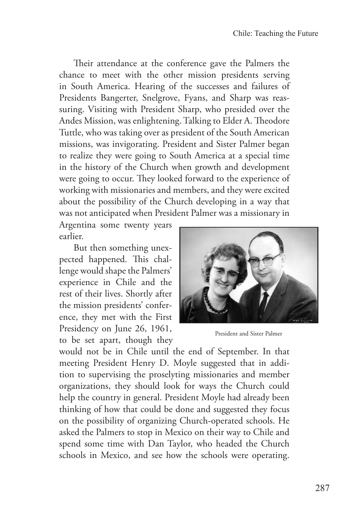Their attendance at the conference gave the Palmers the chance to meet with the other mission presidents serving in South America. Hearing of the successes and failures of Presidents Bangerter, Snelgrove, Fyans, and Sharp was reassuring. Visiting with President Sharp, who presided over the Andes Mission, was enlightening. Talking to Elder A. Theodore Tuttle, who was taking over as president of the South American missions, was invigorating. President and Sister Palmer began to realize they were going to South America at a special time in the history of the Church when growth and development were going to occur. They looked forward to the experience of working with missionaries and members, and they were excited about the possibility of the Church developing in a way that was not anticipated when President Palmer was a missionary in

Argentina some twenty years earlier.

But then something unexpected happened. This challenge would shape the Palmers' experience in Chile and the rest of their lives. Shortly after the mission presidents' conference, they met with the First Presidency on June 26, 1961, to be set apart, though they



President and Sister Palmer

would not be in Chile until the end of September. In that meeting President Henry D. Moyle suggested that in addition to supervising the proselyting missionaries and member organizations, they should look for ways the Church could help the country in general. President Moyle had already been thinking of how that could be done and suggested they focus on the possibility of organizing Church-operated schools. He asked the Palmers to stop in Mexico on their way to Chile and spend some time with Dan Taylor, who headed the Church schools in Mexico, and see how the schools were operating.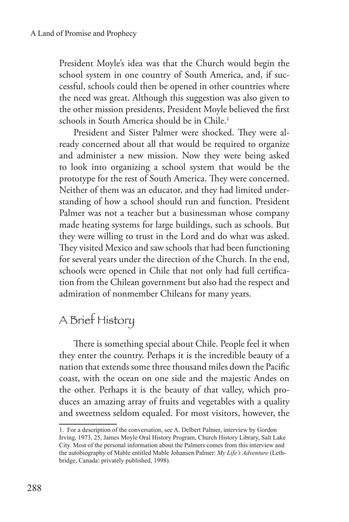President Moyle's idea was that the Church would begin the school system in one country of South America, and, if successful, schools could then be opened in other countries where the need was great. Although this suggestion was also given to the other mission presidents, President Moyle believed the first schools in South America should be in Chile.<sup>1</sup>

President and Sister Palmer were shocked. They were already concerned about all that would be required to organize and administer a new mission. Now they were being asked to look into organizing a school system that would be the prototype for the rest of South America. They were concerned. Neither of them was an educator, and they had limited understanding of how a school should run and function. President Palmer was not a teacher but a businessman whose company made heating systems for large buildings, such as schools. But they were willing to trust in the Lord and do what was asked. They visited Mexico and saw schools that had been functioning for several years under the direction of the Church. In the end, schools were opened in Chile that not only had full certification from the Chilean government but also had the respect and admiration of nonmember Chileans for many years.

## A Brief History

There is something special about Chile. People feel it when they enter the country. Perhaps it is the incredible beauty of a nation that extends some three thousand miles down the Pacific coast, with the ocean on one side and the majestic Andes on the other. Perhaps it is the beauty of that valley, which produces an amazing array of fruits and vegetables with a quality and sweetness seldom equaled. For most visitors, however, the

<sup>1.</sup> For a description of the conversation, see A. Delbert Palmer, interview by Gordon Irving, 1973, 25, James Moyle Oral History Program, Church History Library, Salt Lake City. Most of the personal information about the Palmers comes from this interview and the autobiography of Mable entitled Mable Johansen Palmer: *My Life's Adventure* (Lethbridge, Canada: privately published, 1998).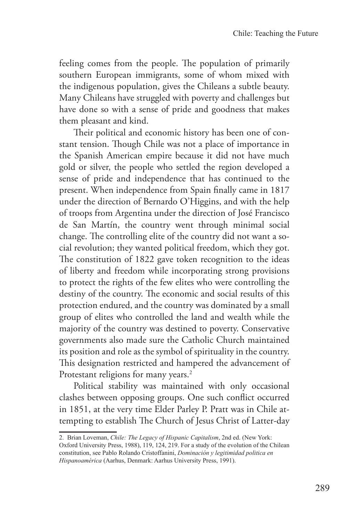feeling comes from the people. The population of primarily southern European immigrants, some of whom mixed with the indigenous population, gives the Chileans a subtle beauty. Many Chileans have struggled with poverty and challenges but have done so with a sense of pride and goodness that makes them pleasant and kind.

Their political and economic history has been one of constant tension. Though Chile was not a place of importance in the Spanish American empire because it did not have much gold or silver, the people who settled the region developed a sense of pride and independence that has continued to the present. When independence from Spain finally came in 1817 under the direction of Bernardo O'Higgins, and with the help of troops from Argentina under the direction of José Francisco de San Martín, the country went through minimal social change. The controlling elite of the country did not want a social revolution; they wanted political freedom, which they got. The constitution of 1822 gave token recognition to the ideas of liberty and freedom while incorporating strong provisions to protect the rights of the few elites who were controlling the destiny of the country. The economic and social results of this protection endured, and the country was dominated by a small group of elites who controlled the land and wealth while the majority of the country was destined to poverty. Conservative governments also made sure the Catholic Church maintained its position and role as the symbol of spirituality in the country. This designation restricted and hampered the advancement of Protestant religions for many years.<sup>2</sup>

Political stability was maintained with only occasional clashes between opposing groups. One such conflict occurred in 1851, at the very time Elder Parley P. Pratt was in Chile attempting to establish The Church of Jesus Christ of Latter-day

<sup>2.</sup> Brian Loveman, *Chile: The Legacy of Hispanic Capitalism*, 2nd ed. (New York:

Oxford University Press, 1988), 119, 124, 219. For a study of the evolution of the Chilean constitution, see Pablo Rolando Cristoffanini, *Dominación y legitimidad politica en Hispanoamérica* (Aarhus, Denmark: Aarhus University Press, 1991).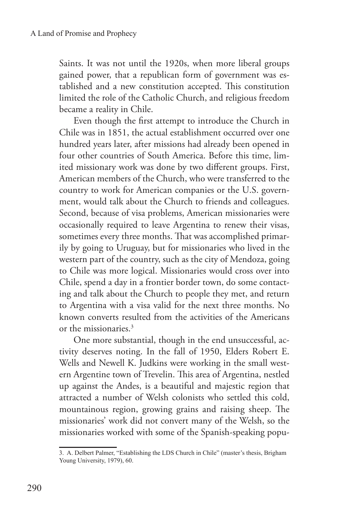Saints. It was not until the 1920s, when more liberal groups gained power, that a republican form of government was established and a new constitution accepted. This constitution limited the role of the Catholic Church, and religious freedom became a reality in Chile.

Even though the first attempt to introduce the Church in Chile was in 1851, the actual establishment occurred over one hundred years later, after missions had already been opened in four other countries of South America. Before this time, limited missionary work was done by two different groups. First, American members of the Church, who were transferred to the country to work for American companies or the U.S. government, would talk about the Church to friends and colleagues. Second, because of visa problems, American missionaries were occasionally required to leave Argentina to renew their visas, sometimes every three months. That was accomplished primarily by going to Uruguay, but for missionaries who lived in the western part of the country, such as the city of Mendoza, going to Chile was more logical. Missionaries would cross over into Chile, spend a day in a frontier border town, do some contacting and talk about the Church to people they met, and return to Argentina with a visa valid for the next three months. No known converts resulted from the activities of the Americans or the missionaries.3

One more substantial, though in the end unsuccessful, activity deserves noting. In the fall of 1950, Elders Robert E. Wells and Newell K. Judkins were working in the small western Argentine town of Trevelin. This area of Argentina, nestled up against the Andes, is a beautiful and majestic region that attracted a number of Welsh colonists who settled this cold, mountainous region, growing grains and raising sheep. The missionaries' work did not convert many of the Welsh, so the missionaries worked with some of the Spanish-speaking popu-

<sup>3.</sup> A. Delbert Palmer, "Establishing the LDS Church in Chile" (master's thesis, Brigham Young University, 1979), 60.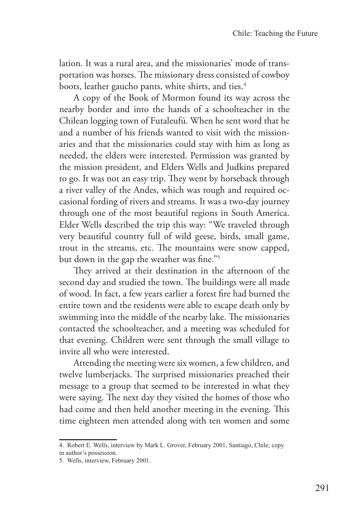lation. It was a rural area, and the missionaries' mode of transportation was horses. The missionary dress consisted of cowboy boots, leather gaucho pants, white shirts, and ties.<sup>4</sup>

A copy of the Book of Mormon found its way across the nearby border and into the hands of a schoolteacher in the Chilean logging town of Futaleufú. When he sent word that he and a number of his friends wanted to visit with the missionaries and that the missionaries could stay with him as long as needed, the elders were interested. Permission was granted by the mission president, and Elders Wells and Judkins prepared to go. It was not an easy trip. They went by horseback through a river valley of the Andes, which was rough and required occasional fording of rivers and streams. It was a two-day journey through one of the most beautiful regions in South America. Elder Wells described the trip this way: "We traveled through very beautiful country full of wild geese, birds, small game, trout in the streams, etc. The mountains were snow capped, but down in the gap the weather was fine."5

They arrived at their destination in the afternoon of the second day and studied the town. The buildings were all made of wood. In fact, a few years earlier a forest fire had burned the entire town and the residents were able to escape death only by swimming into the middle of the nearby lake. The missionaries contacted the schoolteacher, and a meeting was scheduled for that evening. Children were sent through the small village to invite all who were interested.

Attending the meeting were six women, a few children, and twelve lumberjacks. The surprised missionaries preached their message to a group that seemed to be interested in what they were saying. The next day they visited the homes of those who had come and then held another meeting in the evening. This time eighteen men attended along with ten women and some

<sup>4.</sup> Robert E. Wells, interview by Mark L. Grover, February 2001, Santiago, Chile; copy

in author's possession.

<sup>5.</sup> Wells, interview, February 2001.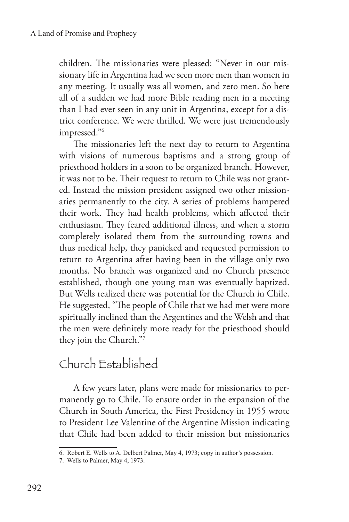children. The missionaries were pleased: "Never in our missionary life in Argentina had we seen more men than women in any meeting. It usually was all women, and zero men. So here all of a sudden we had more Bible reading men in a meeting than I had ever seen in any unit in Argentina, except for a district conference. We were thrilled. We were just tremendously impressed."6

The missionaries left the next day to return to Argentina with visions of numerous baptisms and a strong group of priesthood holders in a soon to be organized branch. However, it was not to be. Their request to return to Chile was not granted. Instead the mission president assigned two other missionaries permanently to the city. A series of problems hampered their work. They had health problems, which affected their enthusiasm. They feared additional illness, and when a storm completely isolated them from the surrounding towns and thus medical help, they panicked and requested permission to return to Argentina after having been in the village only two months. No branch was organized and no Church presence established, though one young man was eventually baptized. But Wells realized there was potential for the Church in Chile. He suggested, "The people of Chile that we had met were more spiritually inclined than the Argentines and the Welsh and that the men were definitely more ready for the priesthood should they join the Church."7

### Church Established

A few years later, plans were made for missionaries to permanently go to Chile. To ensure order in the expansion of the Church in South America, the First Presidency in 1955 wrote to President Lee Valentine of the Argentine Mission indicating that Chile had been added to their mission but missionaries

<sup>6.</sup> Robert E. Wells to A. Delbert Palmer, May 4, 1973; copy in author's possession.

<sup>7.</sup> Wells to Palmer, May 4, 1973.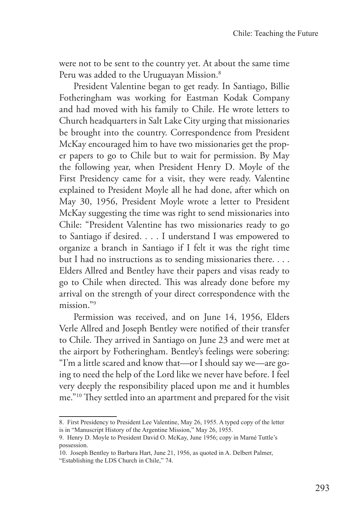were not to be sent to the country yet. At about the same time Peru was added to the Uruguayan Mission.<sup>8</sup>

President Valentine began to get ready. In Santiago, Billie Fotheringham was working for Eastman Kodak Company and had moved with his family to Chile. He wrote letters to Church headquarters in Salt Lake City urging that missionaries be brought into the country. Correspondence from President McKay encouraged him to have two missionaries get the proper papers to go to Chile but to wait for permission. By May the following year, when President Henry D. Moyle of the First Presidency came for a visit, they were ready. Valentine explained to President Moyle all he had done, after which on May 30, 1956, President Moyle wrote a letter to President McKay suggesting the time was right to send missionaries into Chile: "President Valentine has two missionaries ready to go to Santiago if desired. . . . I understand I was empowered to organize a branch in Santiago if I felt it was the right time but I had no instructions as to sending missionaries there. . . . Elders Allred and Bentley have their papers and visas ready to go to Chile when directed. This was already done before my arrival on the strength of your direct correspondence with the mission."9

Permission was received, and on June 14, 1956, Elders Verle Allred and Joseph Bentley were notified of their transfer to Chile. They arrived in Santiago on June 23 and were met at the airport by Fotheringham. Bentley's feelings were sobering: "I'm a little scared and know that—or I should say we—are going to need the help of the Lord like we never have before. I feel very deeply the responsibility placed upon me and it humbles me."10 They settled into an apartment and prepared for the visit

<sup>8.</sup> First Presidency to President Lee Valentine, May 26, 1955. A typed copy of the letter is in "Manuscript History of the Argentine Mission," May 26, 1955.

<sup>9.</sup> Henry D. Moyle to President David O. McKay, June 1956; copy in Marné Tuttle's possession.

<sup>10.</sup> Joseph Bentley to Barbara Hart, June 21, 1956, as quoted in A. Delbert Palmer, "Establishing the LDS Church in Chile," 74.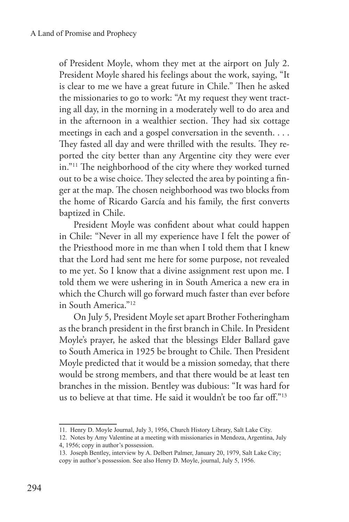of President Moyle, whom they met at the airport on July 2. President Moyle shared his feelings about the work, saying, "It is clear to me we have a great future in Chile." Then he asked the missionaries to go to work: "At my request they went tracting all day, in the morning in a moderately well to do area and in the afternoon in a wealthier section. They had six cottage meetings in each and a gospel conversation in the seventh. . . . They fasted all day and were thrilled with the results. They reported the city better than any Argentine city they were ever in."11 The neighborhood of the city where they worked turned out to be a wise choice. They selected the area by pointing a finger at the map. The chosen neighborhood was two blocks from the home of Ricardo García and his family, the first converts baptized in Chile.

President Moyle was confident about what could happen in Chile: "Never in all my experience have I felt the power of the Priesthood more in me than when I told them that I knew that the Lord had sent me here for some purpose, not revealed to me yet. So I know that a divine assignment rest upon me. I told them we were ushering in in South America a new era in which the Church will go forward much faster than ever before in South America."12

On July 5, President Moyle set apart Brother Fotheringham as the branch president in the first branch in Chile. In President Moyle's prayer, he asked that the blessings Elder Ballard gave to South America in 1925 be brought to Chile. Then President Moyle predicted that it would be a mission someday, that there would be strong members, and that there would be at least ten branches in the mission. Bentley was dubious: "It was hard for us to believe at that time. He said it wouldn't be too far off."13

<sup>11.</sup> Henry D. Moyle Journal, July 3, 1956, Church History Library, Salt Lake City.

<sup>12.</sup> Notes by Amy Valentine at a meeting with missionaries in Mendoza, Argentina, July 4, 1956; copy in author's possession.

<sup>13.</sup> Joseph Bentley, interview by A. Delbert Palmer, January 20, 1979, Salt Lake City; copy in author's possession. See also Henry D. Moyle, journal, July 5, 1956.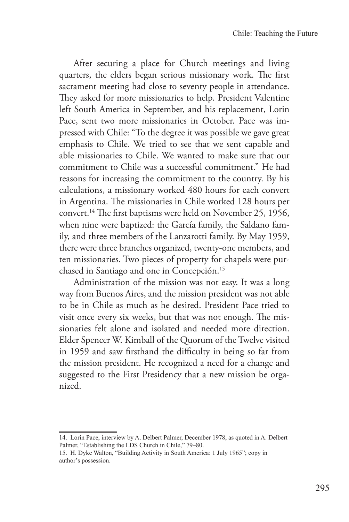After securing a place for Church meetings and living quarters, the elders began serious missionary work. The first sacrament meeting had close to seventy people in attendance. They asked for more missionaries to help. President Valentine left South America in September, and his replacement, Lorin Pace, sent two more missionaries in October. Pace was impressed with Chile: "To the degree it was possible we gave great emphasis to Chile. We tried to see that we sent capable and able missionaries to Chile. We wanted to make sure that our commitment to Chile was a successful commitment." He had reasons for increasing the commitment to the country. By his calculations, a missionary worked 480 hours for each convert in Argentina. The missionaries in Chile worked 128 hours per convert.14 The first baptisms were held on November 25, 1956, when nine were baptized: the García family, the Saldano family, and three members of the Lanzarotti family. By May 1959, there were three branches organized, twenty-one members, and ten missionaries. Two pieces of property for chapels were purchased in Santiago and one in Concepción.<sup>15</sup>

Administration of the mission was not easy. It was a long way from Buenos Aires, and the mission president was not able to be in Chile as much as he desired. President Pace tried to visit once every six weeks, but that was not enough. The missionaries felt alone and isolated and needed more direction. Elder Spencer W. Kimball of the Quorum of the Twelve visited in 1959 and saw firsthand the difficulty in being so far from the mission president. He recognized a need for a change and suggested to the First Presidency that a new mission be organized.

<sup>14.</sup> Lorin Pace, interview by A. Delbert Palmer, December 1978, as quoted in A. Delbert Palmer, "Establishing the LDS Church in Chile," 79–80.

<sup>15.</sup> H. Dyke Walton, "Building Activity in South America: 1 July 1965"; copy in author's possession.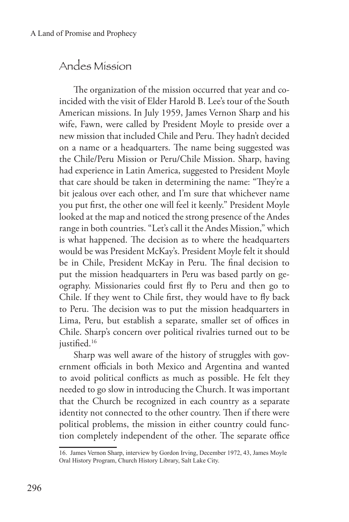#### Andes Mission

The organization of the mission occurred that year and coincided with the visit of Elder Harold B. Lee's tour of the South American missions. In July 1959, James Vernon Sharp and his wife, Fawn, were called by President Moyle to preside over a new mission that included Chile and Peru. They hadn't decided on a name or a headquarters. The name being suggested was the Chile/Peru Mission or Peru/Chile Mission. Sharp, having had experience in Latin America, suggested to President Moyle that care should be taken in determining the name: "They're a bit jealous over each other, and I'm sure that whichever name you put first, the other one will feel it keenly." President Moyle looked at the map and noticed the strong presence of the Andes range in both countries. "Let's call it the Andes Mission," which is what happened. The decision as to where the headquarters would be was President McKay's. President Moyle felt it should be in Chile, President McKay in Peru. The final decision to put the mission headquarters in Peru was based partly on geography. Missionaries could first fly to Peru and then go to Chile. If they went to Chile first, they would have to fly back to Peru. The decision was to put the mission headquarters in Lima, Peru, but establish a separate, smaller set of offices in Chile. Sharp's concern over political rivalries turned out to be justified.<sup>16</sup>

Sharp was well aware of the history of struggles with government officials in both Mexico and Argentina and wanted to avoid political conflicts as much as possible. He felt they needed to go slow in introducing the Church. It was important that the Church be recognized in each country as a separate identity not connected to the other country. Then if there were political problems, the mission in either country could function completely independent of the other. The separate office

<sup>16.</sup> James Vernon Sharp, interview by Gordon Irving, December 1972, 43, James Moyle Oral History Program, Church History Library, Salt Lake City.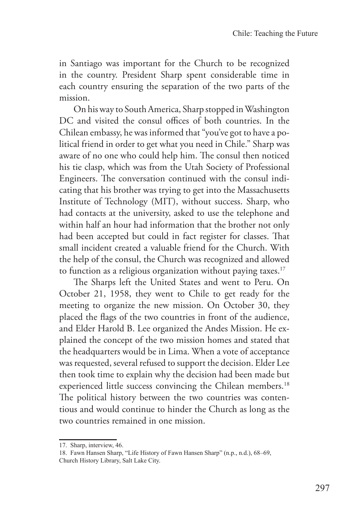in Santiago was important for the Church to be recognized in the country. President Sharp spent considerable time in each country ensuring the separation of the two parts of the mission.

On his way to South America, Sharp stopped in Washington DC and visited the consul offices of both countries. In the Chilean embassy, he was informed that "you've got to have a political friend in order to get what you need in Chile." Sharp was aware of no one who could help him. The consul then noticed his tie clasp, which was from the Utah Society of Professional Engineers. The conversation continued with the consul indicating that his brother was trying to get into the Massachusetts Institute of Technology (MIT), without success. Sharp, who had contacts at the university, asked to use the telephone and within half an hour had information that the brother not only had been accepted but could in fact register for classes. That small incident created a valuable friend for the Church. With the help of the consul, the Church was recognized and allowed to function as a religious organization without paying taxes. $17$ 

The Sharps left the United States and went to Peru. On October 21, 1958, they went to Chile to get ready for the meeting to organize the new mission. On October 30, they placed the flags of the two countries in front of the audience, and Elder Harold B. Lee organized the Andes Mission. He explained the concept of the two mission homes and stated that the headquarters would be in Lima. When a vote of acceptance was requested, several refused to support the decision. Elder Lee then took time to explain why the decision had been made but experienced little success convincing the Chilean members.<sup>18</sup> The political history between the two countries was contentious and would continue to hinder the Church as long as the two countries remained in one mission.

<sup>17.</sup> Sharp, interview, 46.

<sup>18.</sup> Fawn Hansen Sharp, "Life History of Fawn Hansen Sharp" (n.p., n.d.), 68–69, Church History Library, Salt Lake City.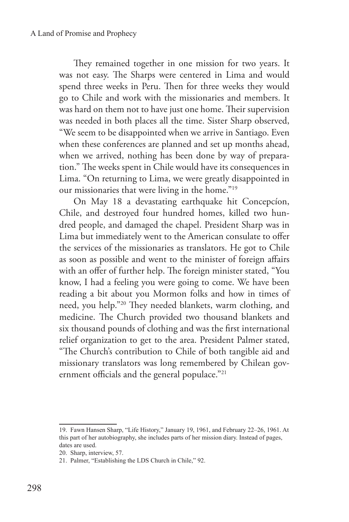They remained together in one mission for two years. It was not easy. The Sharps were centered in Lima and would spend three weeks in Peru. Then for three weeks they would go to Chile and work with the missionaries and members. It was hard on them not to have just one home. Their supervision was needed in both places all the time. Sister Sharp observed, "We seem to be disappointed when we arrive in Santiago. Even when these conferences are planned and set up months ahead, when we arrived, nothing has been done by way of preparation." The weeks spent in Chile would have its consequences in Lima. "On returning to Lima, we were greatly disappointed in our missionaries that were living in the home."19

On May 18 a devastating earthquake hit Concepcíon, Chile, and destroyed four hundred homes, killed two hundred people, and damaged the chapel. President Sharp was in Lima but immediately went to the American consulate to offer the services of the missionaries as translators. He got to Chile as soon as possible and went to the minister of foreign affairs with an offer of further help. The foreign minister stated, "You know, I had a feeling you were going to come. We have been reading a bit about you Mormon folks and how in times of need, you help."20 They needed blankets, warm clothing, and medicine. The Church provided two thousand blankets and six thousand pounds of clothing and was the first international relief organization to get to the area. President Palmer stated, "The Church's contribution to Chile of both tangible aid and missionary translators was long remembered by Chilean government officials and the general populace."21

<sup>19.</sup> Fawn Hansen Sharp, "Life History," January 19, 1961, and February 22–26, 1961. At this part of her autobiography, she includes parts of her mission diary. Instead of pages, dates are used.

<sup>20.</sup> Sharp, interview, 57.

<sup>21.</sup> Palmer, "Establishing the LDS Church in Chile," 92.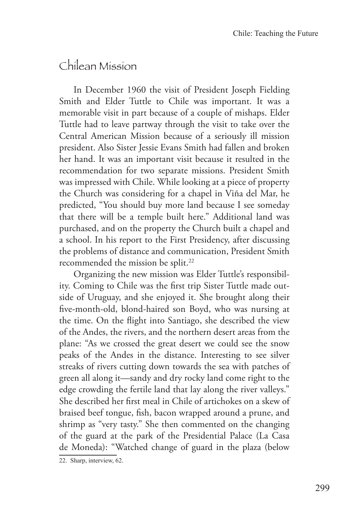#### Chilean Mission

In December 1960 the visit of President Joseph Fielding Smith and Elder Tuttle to Chile was important. It was a memorable visit in part because of a couple of mishaps. Elder Tuttle had to leave partway through the visit to take over the Central American Mission because of a seriously ill mission president. Also Sister Jessie Evans Smith had fallen and broken her hand. It was an important visit because it resulted in the recommendation for two separate missions. President Smith was impressed with Chile. While looking at a piece of property the Church was considering for a chapel in Viña del Mar, he predicted, "You should buy more land because I see someday that there will be a temple built here." Additional land was purchased, and on the property the Church built a chapel and a school. In his report to the First Presidency, after discussing the problems of distance and communication, President Smith recommended the mission be split.<sup>22</sup>

Organizing the new mission was Elder Tuttle's responsibility. Coming to Chile was the first trip Sister Tuttle made outside of Uruguay, and she enjoyed it. She brought along their five-month-old, blond-haired son Boyd, who was nursing at the time. On the flight into Santiago, she described the view of the Andes, the rivers, and the northern desert areas from the plane: "As we crossed the great desert we could see the snow peaks of the Andes in the distance. Interesting to see silver streaks of rivers cutting down towards the sea with patches of green all along it—sandy and dry rocky land come right to the edge crowding the fertile land that lay along the river valleys." She described her first meal in Chile of artichokes on a skew of braised beef tongue, fish, bacon wrapped around a prune, and shrimp as "very tasty." She then commented on the changing of the guard at the park of the Presidential Palace (La Casa de Moneda): "Watched change of guard in the plaza (below

<sup>22.</sup> Sharp, interview, 62.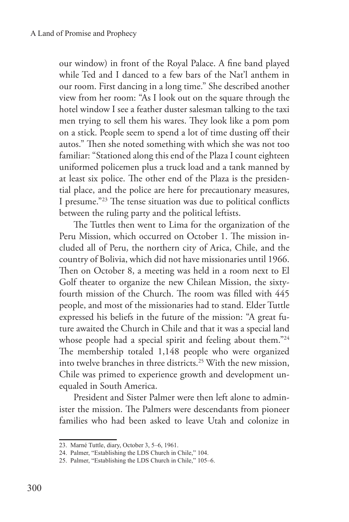our window) in front of the Royal Palace. A fine band played while Ted and I danced to a few bars of the Nat'l anthem in our room. First dancing in a long time." She described another view from her room: "As I look out on the square through the hotel window I see a feather duster salesman talking to the taxi men trying to sell them his wares. They look like a pom pom on a stick. People seem to spend a lot of time dusting off their autos." Then she noted something with which she was not too familiar: "Stationed along this end of the Plaza I count eighteen uniformed policemen plus a truck load and a tank manned by at least six police. The other end of the Plaza is the presidential place, and the police are here for precautionary measures, I presume."23 The tense situation was due to political conflicts between the ruling party and the political leftists.

The Tuttles then went to Lima for the organization of the Peru Mission, which occurred on October 1. The mission included all of Peru, the northern city of Arica, Chile, and the country of Bolivia, which did not have missionaries until 1966. Then on October 8, a meeting was held in a room next to El Golf theater to organize the new Chilean Mission, the sixtyfourth mission of the Church. The room was filled with 445 people, and most of the missionaries had to stand. Elder Tuttle expressed his beliefs in the future of the mission: "A great future awaited the Church in Chile and that it was a special land whose people had a special spirit and feeling about them."24 The membership totaled 1,148 people who were organized into twelve branches in three districts.25 With the new mission, Chile was primed to experience growth and development unequaled in South America.

President and Sister Palmer were then left alone to administer the mission. The Palmers were descendants from pioneer families who had been asked to leave Utah and colonize in

<sup>23.</sup> Marné Tuttle, diary, October 3, 5–6, 1961.

<sup>24.</sup> Palmer, "Establishing the LDS Church in Chile," 104.

<sup>25.</sup> Palmer, "Establishing the LDS Church in Chile," 105–6.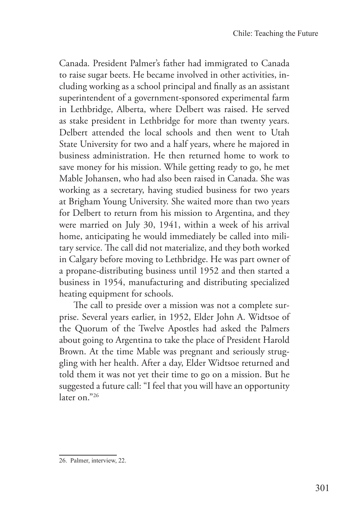Canada. President Palmer's father had immigrated to Canada to raise sugar beets. He became involved in other activities, including working as a school principal and finally as an assistant superintendent of a government-sponsored experimental farm in Lethbridge, Alberta, where Delbert was raised. He served as stake president in Lethbridge for more than twenty years. Delbert attended the local schools and then went to Utah State University for two and a half years, where he majored in business administration. He then returned home to work to save money for his mission. While getting ready to go, he met Mable Johansen, who had also been raised in Canada. She was working as a secretary, having studied business for two years at Brigham Young University. She waited more than two years for Delbert to return from his mission to Argentina, and they were married on July 30, 1941, within a week of his arrival home, anticipating he would immediately be called into military service. The call did not materialize, and they both worked in Calgary before moving to Lethbridge. He was part owner of a propane-distributing business until 1952 and then started a business in 1954, manufacturing and distributing specialized heating equipment for schools.

The call to preside over a mission was not a complete surprise. Several years earlier, in 1952, Elder John A. Widtsoe of the Quorum of the Twelve Apostles had asked the Palmers about going to Argentina to take the place of President Harold Brown. At the time Mable was pregnant and seriously struggling with her health. After a day, Elder Widtsoe returned and told them it was not yet their time to go on a mission. But he suggested a future call: "I feel that you will have an opportunity later on."26

<sup>26.</sup> Palmer, interview, 22.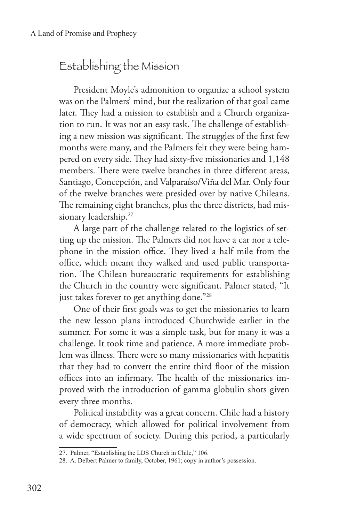## Establishing the Mission

President Moyle's admonition to organize a school system was on the Palmers' mind, but the realization of that goal came later. They had a mission to establish and a Church organization to run. It was not an easy task. The challenge of establishing a new mission was significant. The struggles of the first few months were many, and the Palmers felt they were being hampered on every side. They had sixty-five missionaries and 1,148 members. There were twelve branches in three different areas, Santiago, Concepción, and Valparaíso/Viña del Mar. Only four of the twelve branches were presided over by native Chileans. The remaining eight branches, plus the three districts, had missionary leadership.<sup>27</sup>

A large part of the challenge related to the logistics of setting up the mission. The Palmers did not have a car nor a telephone in the mission office. They lived a half mile from the office, which meant they walked and used public transportation. The Chilean bureaucratic requirements for establishing the Church in the country were significant. Palmer stated, "It just takes forever to get anything done."<sup>28</sup>

One of their first goals was to get the missionaries to learn the new lesson plans introduced Churchwide earlier in the summer. For some it was a simple task, but for many it was a challenge. It took time and patience. A more immediate problem was illness. There were so many missionaries with hepatitis that they had to convert the entire third floor of the mission offices into an infirmary. The health of the missionaries improved with the introduction of gamma globulin shots given every three months.

Political instability was a great concern. Chile had a history of democracy, which allowed for political involvement from a wide spectrum of society. During this period, a particularly

<sup>27.</sup> Palmer, "Establishing the LDS Church in Chile," 106.

<sup>28.</sup> A. Delbert Palmer to family, October, 1961; copy in author's possession.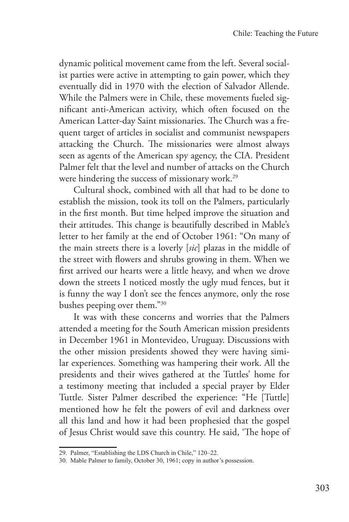dynamic political movement came from the left. Several socialist parties were active in attempting to gain power, which they eventually did in 1970 with the election of Salvador Allende. While the Palmers were in Chile, these movements fueled significant anti-American activity, which often focused on the American Latter-day Saint missionaries. The Church was a frequent target of articles in socialist and communist newspapers attacking the Church. The missionaries were almost always seen as agents of the American spy agency, the CIA. President Palmer felt that the level and number of attacks on the Church were hindering the success of missionary work.<sup>29</sup>

Cultural shock, combined with all that had to be done to establish the mission, took its toll on the Palmers, particularly in the first month. But time helped improve the situation and their attitudes. This change is beautifully described in Mable's letter to her family at the end of October 1961: "On many of the main streets there is a loverly [*sic*] plazas in the middle of the street with flowers and shrubs growing in them. When we first arrived our hearts were a little heavy, and when we drove down the streets I noticed mostly the ugly mud fences, but it is funny the way I don't see the fences anymore, only the rose bushes peeping over them."30

It was with these concerns and worries that the Palmers attended a meeting for the South American mission presidents in December 1961 in Montevideo, Uruguay. Discussions with the other mission presidents showed they were having similar experiences. Something was hampering their work. All the presidents and their wives gathered at the Tuttles' home for a testimony meeting that included a special prayer by Elder Tuttle. Sister Palmer described the experience: "He [Tuttle] mentioned how he felt the powers of evil and darkness over all this land and how it had been prophesied that the gospel of Jesus Christ would save this country. He said, 'The hope of

<sup>29.</sup> Palmer, "Establishing the LDS Church in Chile," 120–22.

<sup>30.</sup> Mable Palmer to family, October 30, 1961; copy in author's possession.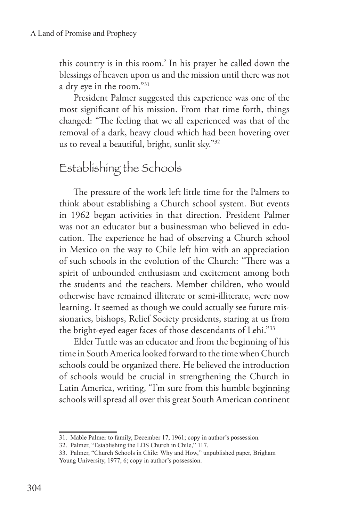this country is in this room.' In his prayer he called down the blessings of heaven upon us and the mission until there was not a dry eye in the room."31

President Palmer suggested this experience was one of the most significant of his mission. From that time forth, things changed: "The feeling that we all experienced was that of the removal of a dark, heavy cloud which had been hovering over us to reveal a beautiful, bright, sunlit sky."32

## Establishing the Schools

The pressure of the work left little time for the Palmers to think about establishing a Church school system. But events in 1962 began activities in that direction. President Palmer was not an educator but a businessman who believed in education. The experience he had of observing a Church school in Mexico on the way to Chile left him with an appreciation of such schools in the evolution of the Church: "There was a spirit of unbounded enthusiasm and excitement among both the students and the teachers. Member children, who would otherwise have remained illiterate or semi-illiterate, were now learning. It seemed as though we could actually see future missionaries, bishops, Relief Society presidents, staring at us from the bright-eyed eager faces of those descendants of Lehi."33

Elder Tuttle was an educator and from the beginning of his time in South America looked forward to the time when Church schools could be organized there. He believed the introduction of schools would be crucial in strengthening the Church in Latin America, writing, "I'm sure from this humble beginning schools will spread all over this great South American continent

<sup>31.</sup> Mable Palmer to family, December 17, 1961; copy in author's possession.

<sup>32.</sup> Palmer, "Establishing the LDS Church in Chile," 117.

<sup>33.</sup> Palmer, "Church Schools in Chile: Why and How," unpublished paper, Brigham Young University, 1977, 6; copy in author's possession.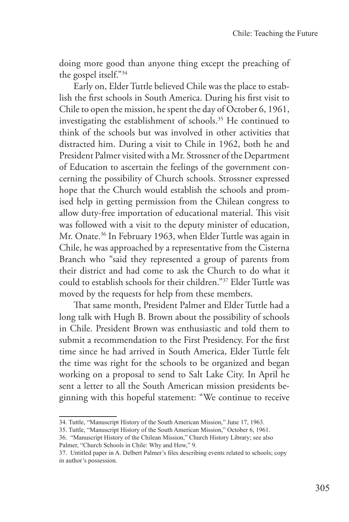doing more good than anyone thing except the preaching of the gospel itself."34

Early on, Elder Tuttle believed Chile was the place to establish the first schools in South America. During his first visit to Chile to open the mission, he spent the day of October 6, 1961, investigating the establishment of schools.35 He continued to think of the schools but was involved in other activities that distracted him. During a visit to Chile in 1962, both he and President Palmer visited with a Mr. Strossner of the Department of Education to ascertain the feelings of the government concerning the possibility of Church schools. Strossner expressed hope that the Church would establish the schools and promised help in getting permission from the Chilean congress to allow duty-free importation of educational material. This visit was followed with a visit to the deputy minister of education, Mr. Onate.<sup>36</sup> In February 1963, when Elder Tuttle was again in Chile, he was approached by a representative from the Cisterna Branch who "said they represented a group of parents from their district and had come to ask the Church to do what it could to establish schools for their children."37 Elder Tuttle was moved by the requests for help from these members.

That same month, President Palmer and Elder Tuttle had a long talk with Hugh B. Brown about the possibility of schools in Chile. President Brown was enthusiastic and told them to submit a recommendation to the First Presidency. For the first time since he had arrived in South America, Elder Tuttle felt the time was right for the schools to be organized and began working on a proposal to send to Salt Lake City. In April he sent a letter to all the South American mission presidents beginning with this hopeful statement: "We continue to receive

<sup>34.</sup> Tuttle, "Manuscript History of the South American Mission," June 17, 1963.

<sup>35.</sup> Tuttle, "Manuscript History of the South American Mission," October 6, 1961.

<sup>36. &</sup>quot;Manuscript History of the Chilean Mission," Church History Library; see also Palmer, "Church Schools in Chile: Why and How," 9.

<sup>37.</sup> Untitled paper in A. Delbert Palmer's files describing events related to schools; copy in author's possession.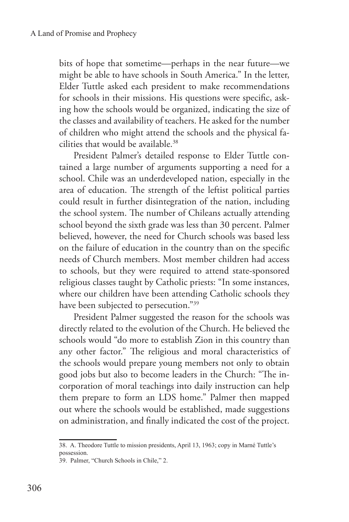bits of hope that sometime—perhaps in the near future—we might be able to have schools in South America." In the letter, Elder Tuttle asked each president to make recommendations for schools in their missions. His questions were specific, asking how the schools would be organized, indicating the size of the classes and availability of teachers. He asked for the number of children who might attend the schools and the physical facilities that would be available.<sup>38</sup>

President Palmer's detailed response to Elder Tuttle contained a large number of arguments supporting a need for a school. Chile was an underdeveloped nation, especially in the area of education. The strength of the leftist political parties could result in further disintegration of the nation, including the school system. The number of Chileans actually attending school beyond the sixth grade was less than 30 percent. Palmer believed, however, the need for Church schools was based less on the failure of education in the country than on the specific needs of Church members. Most member children had access to schools, but they were required to attend state-sponsored religious classes taught by Catholic priests: "In some instances, where our children have been attending Catholic schools they have been subjected to persecution."39

President Palmer suggested the reason for the schools was directly related to the evolution of the Church. He believed the schools would "do more to establish Zion in this country than any other factor." The religious and moral characteristics of the schools would prepare young members not only to obtain good jobs but also to become leaders in the Church: "The incorporation of moral teachings into daily instruction can help them prepare to form an LDS home." Palmer then mapped out where the schools would be established, made suggestions on administration, and finally indicated the cost of the project.

<sup>38.</sup> A. Theodore Tuttle to mission presidents, April 13, 1963; copy in Marné Tuttle's possession.

<sup>39.</sup> Palmer, "Church Schools in Chile," 2.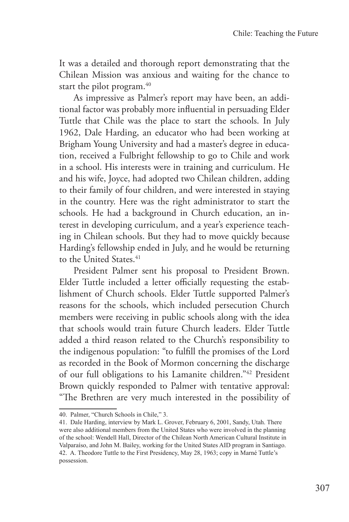It was a detailed and thorough report demonstrating that the Chilean Mission was anxious and waiting for the chance to start the pilot program.<sup>40</sup>

As impressive as Palmer's report may have been, an additional factor was probably more influential in persuading Elder Tuttle that Chile was the place to start the schools. In July 1962, Dale Harding, an educator who had been working at Brigham Young University and had a master's degree in education, received a Fulbright fellowship to go to Chile and work in a school. His interests were in training and curriculum. He and his wife, Joyce, had adopted two Chilean children, adding to their family of four children, and were interested in staying in the country. Here was the right administrator to start the schools. He had a background in Church education, an interest in developing curriculum, and a year's experience teaching in Chilean schools. But they had to move quickly because Harding's fellowship ended in July, and he would be returning to the United States.<sup>41</sup>

President Palmer sent his proposal to President Brown. Elder Tuttle included a letter officially requesting the establishment of Church schools. Elder Tuttle supported Palmer's reasons for the schools, which included persecution Church members were receiving in public schools along with the idea that schools would train future Church leaders. Elder Tuttle added a third reason related to the Church's responsibility to the indigenous population: "to fulfill the promises of the Lord as recorded in the Book of Mormon concerning the discharge of our full obligations to his Lamanite children."42 President Brown quickly responded to Palmer with tentative approval: "The Brethren are very much interested in the possibility of

<sup>40.</sup> Palmer, "Church Schools in Chile," 3.

<sup>41.</sup> Dale Harding, interview by Mark L. Grover, February 6, 2001, Sandy, Utah. There were also additional members from the United States who were involved in the planning of the school: Wendell Hall, Director of the Chilean North American Cultural Institute in Valparaíso, and John M. Bailey, working for the United States AID program in Santiago. 42. A. Theodore Tuttle to the First Presidency, May 28, 1963; copy in Marné Tuttle's possession.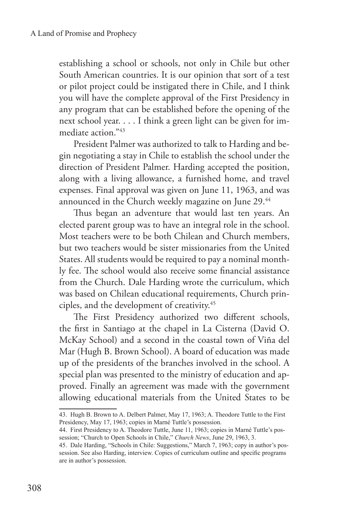establishing a school or schools, not only in Chile but other South American countries. It is our opinion that sort of a test or pilot project could be instigated there in Chile, and I think you will have the complete approval of the First Presidency in any program that can be established before the opening of the next school year. . . . I think a green light can be given for immediate action."43

President Palmer was authorized to talk to Harding and begin negotiating a stay in Chile to establish the school under the direction of President Palmer. Harding accepted the position, along with a living allowance, a furnished home, and travel expenses. Final approval was given on June 11, 1963, and was announced in the Church weekly magazine on June 29.44

Thus began an adventure that would last ten years. An elected parent group was to have an integral role in the school. Most teachers were to be both Chilean and Church members, but two teachers would be sister missionaries from the United States. All students would be required to pay a nominal monthly fee. The school would also receive some financial assistance from the Church. Dale Harding wrote the curriculum, which was based on Chilean educational requirements, Church principles, and the development of creativity.45

The First Presidency authorized two different schools, the first in Santiago at the chapel in La Cisterna (David O. McKay School) and a second in the coastal town of Viña del Mar (Hugh B. Brown School). A board of education was made up of the presidents of the branches involved in the school. A special plan was presented to the ministry of education and approved. Finally an agreement was made with the government allowing educational materials from the United States to be

<sup>43.</sup> Hugh B. Brown to A. Delbert Palmer, May 17, 1963; A. Theodore Tuttle to the First Presidency, May 17, 1963; copies in Marné Tuttle's possession.

<sup>44.</sup> First Presidency to A. Theodore Tuttle, June 11, 1963; copies in Marné Tuttle's possession; "Church to Open Schools in Chile," *Church News*, June 29, 1963, 3.

<sup>45.</sup> Dale Harding, "Schools in Chile: Suggestions," March 7, 1963; copy in author's possession. See also Harding, interview. Copies of curriculum outline and specific programs are in author's possession.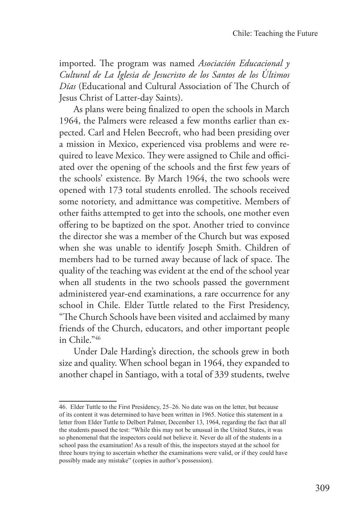imported. The program was named *Asociación Educacional y Cultural de La Iglesia de Jesucristo de los Santos de los Últimos Días* (Educational and Cultural Association of The Church of Jesus Christ of Latter-day Saints).

As plans were being finalized to open the schools in March 1964, the Palmers were released a few months earlier than expected. Carl and Helen Beecroft, who had been presiding over a mission in Mexico, experienced visa problems and were required to leave Mexico. They were assigned to Chile and officiated over the opening of the schools and the first few years of the schools' existence. By March 1964, the two schools were opened with 173 total students enrolled. The schools received some notoriety, and admittance was competitive. Members of other faiths attempted to get into the schools, one mother even offering to be baptized on the spot. Another tried to convince the director she was a member of the Church but was exposed when she was unable to identify Joseph Smith. Children of members had to be turned away because of lack of space. The quality of the teaching was evident at the end of the school year when all students in the two schools passed the government administered year-end examinations, a rare occurrence for any school in Chile. Elder Tuttle related to the First Presidency, "The Church Schools have been visited and acclaimed by many friends of the Church, educators, and other important people in Chile."46

Under Dale Harding's direction, the schools grew in both size and quality. When school began in 1964, they expanded to another chapel in Santiago, with a total of 339 students, twelve

<sup>46.</sup> Elder Tuttle to the First Presidency, 25–26. No date was on the letter, but because of its content it was determined to have been written in 1965. Notice this statement in a letter from Elder Tuttle to Delbert Palmer, December 13, 1964, regarding the fact that all the students passed the test: "While this may not be unusual in the United States, it was so phenomenal that the inspectors could not believe it. Never do all of the students in a school pass the examination! As a result of this, the inspectors stayed at the school for three hours trying to ascertain whether the examinations were valid, or if they could have possibly made any mistake" (copies in author's possession).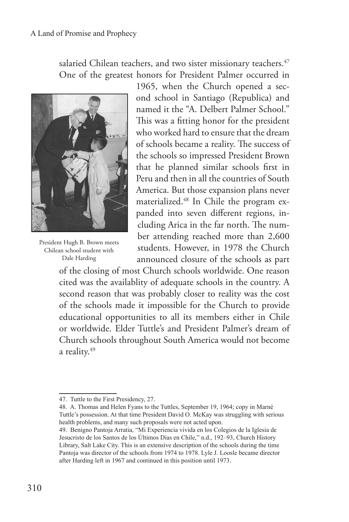salaried Chilean teachers, and two sister missionary teachers.<sup>47</sup> One of the greatest honors for President Palmer occurred in



President Hugh B. Brown meets Chilean school student with Dale Harding

1965, when the Church opened a second school in Santiago (Republica) and named it the "A. Delbert Palmer School." This was a fitting honor for the president who worked hard to ensure that the dream of schools became a reality. The success of the schools so impressed President Brown that he planned similar schools first in Peru and then in all the countries of South America. But those expansion plans never materialized.48 In Chile the program expanded into seven different regions, including Arica in the far north. The number attending reached more than 2,600 students. However, in 1978 the Church announced closure of the schools as part

of the closing of most Church schools worldwide. One reason cited was the availablity of adequate schools in the country. A second reason that was probably closer to reality was the cost of the schools made it impossible for the Church to provide educational opportunities to all its members either in Chile or worldwide. Elder Tuttle's and President Palmer's dream of Church schools throughout South America would not become a reality.<sup>49</sup>

<sup>47.</sup> Tuttle to the First Presidency, 27.

<sup>48.</sup> A. Thomas and Helen Fyans to the Tuttles, September 19, 1964; copy in Marné Tuttle's possession. At that time President David O. McKay was struggling with serious health problems, and many such proposals were not acted upon.

<sup>49.</sup> Benigno Pantoja Arratia, "Mi Experiencia vivida en los Colegios de la Iglesia de Jesucristo de los Santos de los Últimos Días en Chile," n.d., 192–93, Church History Library, Salt Lake City. This is an extensive description of the schools during the time Pantoja was director of the schools from 1974 to 1978. Lyle J. Loosle became director after Harding left in 1967 and continued in this position until 1973.